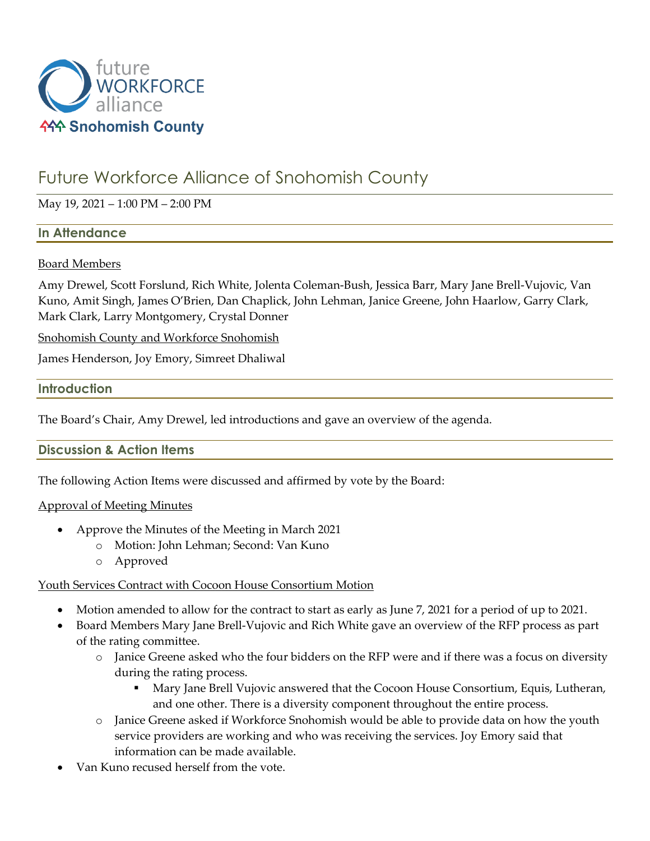

# Future Workforce Alliance of Snohomish County

## May 19, 2021 – 1:00 PM – 2:00 PM

#### **In Attendance**

#### Board Members

Amy Drewel, Scott Forslund, Rich White, Jolenta Coleman-Bush, Jessica Barr, Mary Jane Brell-Vujovic, Van Kuno, Amit Singh, James O'Brien, Dan Chaplick, John Lehman, Janice Greene, John Haarlow, Garry Clark, Mark Clark, Larry Montgomery, Crystal Donner

Snohomish County and Workforce Snohomish

James Henderson, Joy Emory, Simreet Dhaliwal

#### **Introduction**

The Board's Chair, Amy Drewel, led introductions and gave an overview of the agenda.

**Discussion & Action Items**

The following Action Items were discussed and affirmed by vote by the Board:

## Approval of Meeting Minutes

- Approve the Minutes of the Meeting in March 2021
	- o Motion: John Lehman; Second: Van Kuno
	- o Approved

## Youth Services Contract with Cocoon House Consortium Motion

- Motion amended to allow for the contract to start as early as June 7, 2021 for a period of up to 2021.
- Board Members Mary Jane Brell-Vujovic and Rich White gave an overview of the RFP process as part of the rating committee.
	- o Janice Greene asked who the four bidders on the RFP were and if there was a focus on diversity during the rating process.
		- **Mary Jane Brell Vujovic answered that the Cocoon House Consortium, Equis, Lutheran,** and one other. There is a diversity component throughout the entire process.
	- o Janice Greene asked if Workforce Snohomish would be able to provide data on how the youth service providers are working and who was receiving the services. Joy Emory said that information can be made available.
- Van Kuno recused herself from the vote.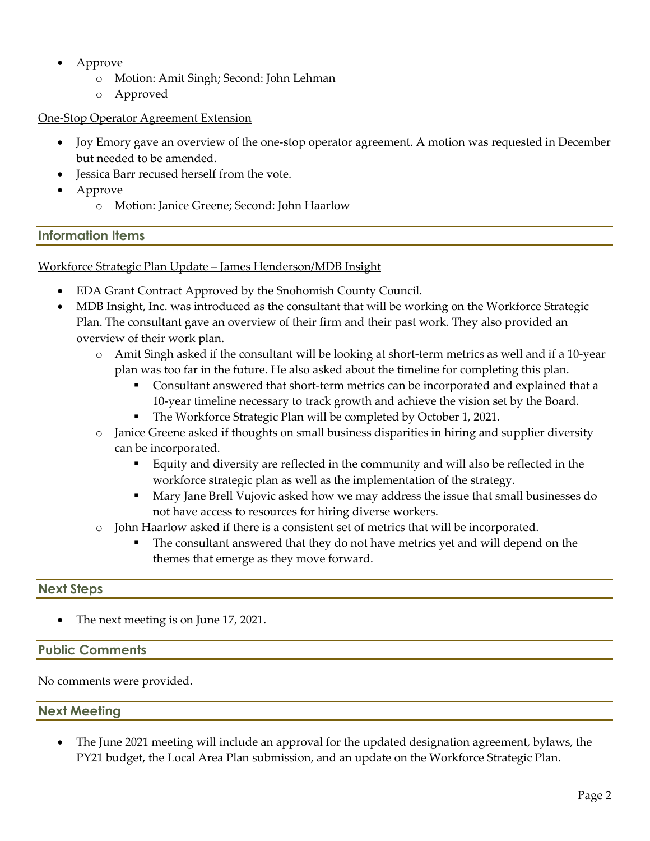- Approve
	- Motion: Amit Singh; Second: John Lehman
	- o Approved

#### One-Stop Operator Agreement Extension

- Joy Emory gave an overview of the one-stop operator agreement. A motion was requested in December but needed to be amended.
- Jessica Barr recused herself from the vote.
- Approve
	- o Motion: Janice Greene; Second: John Haarlow

## **Information Items**

Workforce Strategic Plan Update – James Henderson/MDB Insight

- EDA Grant Contract Approved by the Snohomish County Council.
- MDB Insight, Inc. was introduced as the consultant that will be working on the Workforce Strategic Plan. The consultant gave an overview of their firm and their past work. They also provided an overview of their work plan.
	- o Amit Singh asked if the consultant will be looking at short-term metrics as well and if a 10-year plan was too far in the future. He also asked about the timeline for completing this plan.
		- **Consultant answered that short-term metrics can be incorporated and explained that a** 10-year timeline necessary to track growth and achieve the vision set by the Board.
		- The Workforce Strategic Plan will be completed by October 1, 2021.
	- o Janice Greene asked if thoughts on small business disparities in hiring and supplier diversity can be incorporated.
		- Equity and diversity are reflected in the community and will also be reflected in the workforce strategic plan as well as the implementation of the strategy.
		- Mary Jane Brell Vujovic asked how we may address the issue that small businesses do not have access to resources for hiring diverse workers.
	- o John Haarlow asked if there is a consistent set of metrics that will be incorporated.
		- The consultant answered that they do not have metrics yet and will depend on the themes that emerge as they move forward.

## **Next Steps**

The next meeting is on June 17, 2021.

## **Public Comments**

No comments were provided.

## **Next Meeting**

• The June 2021 meeting will include an approval for the updated designation agreement, bylaws, the PY21 budget, the Local Area Plan submission, and an update on the Workforce Strategic Plan.